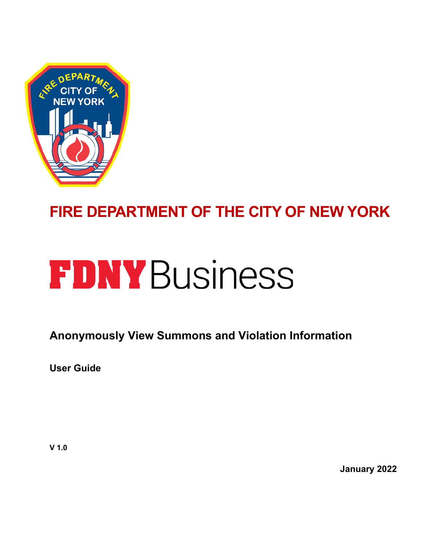

# **FIRE DEPARTMENT OF THE CITY OF NEW YORK**

# **FDNY Business**

**Anonymously View Summons and Violation Information**

**User Guide**

**January 2022**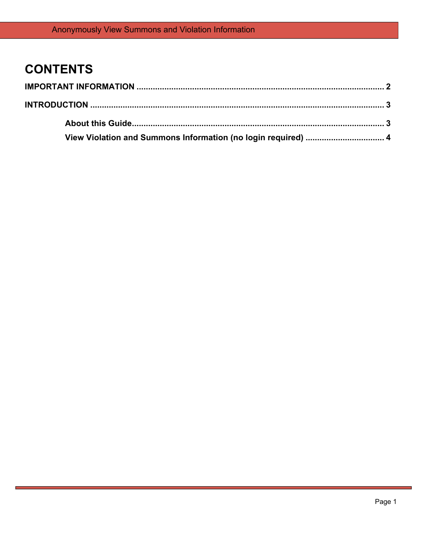## **CONTENTS**

| View Violation and Summons Information (no login required)  4 |  |
|---------------------------------------------------------------|--|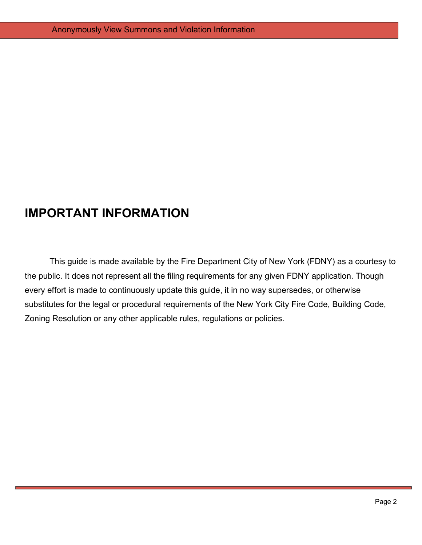## <span id="page-2-0"></span>**IMPORTANT INFORMATION**

This guide is made available by the Fire Department City of New York (FDNY) as a courtesy to the public. It does not represent all the filing requirements for any given FDNY application. Though every effort is made to continuously update this guide, it in no way supersedes, or otherwise substitutes for the legal or procedural requirements of the New York City Fire Code, Building Code, Zoning Resolution or any other applicable rules, regulations or policies.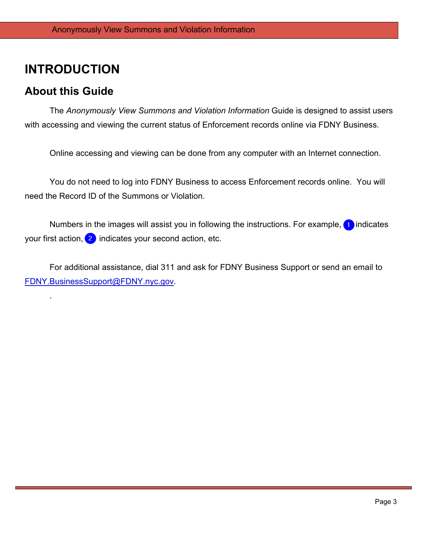## <span id="page-3-0"></span>**INTRODUCTION**

#### <span id="page-3-1"></span>**About this Guide**

.

The *Anonymously View Summons and Violation Information* Guide is designed to assist users with accessing and viewing the current status of Enforcement records online via FDNY Business.

Online accessing and viewing can be done from any computer with an Internet connection.

You do not need to log into FDNY Business to access Enforcement records online. You will need the Record ID of the Summons or Violation.

Numbers in the images will assist you in following the instructions. For example,  $\Box$  indicates your first action,  $\boxed{2}$  indicates your second action, etc.

For additional assistance, dial 311 and ask for FDNY Business Support or send an email to [FDNY.BusinessSupport@FDNY.nyc.gov.](mailto:FDNY.BusinessSupport@FDNY.nyc.gov)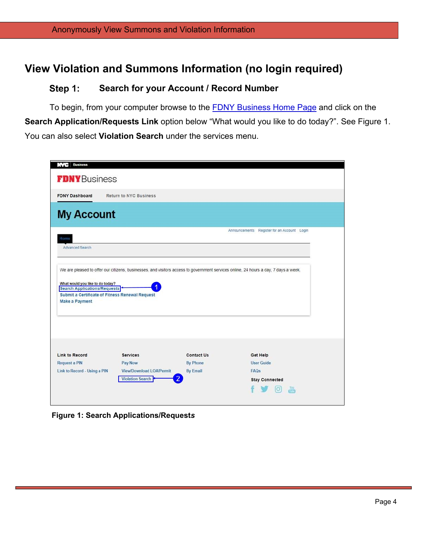### <span id="page-4-0"></span>**View Violation and Summons Information (no login required)**

#### **Search for your Account / Record Number** Step 1:

To begin, from your computer browse to the **[FDNY Business Home Page](https://fires.fdnycloud.org/CitizenAccess/Default.aspx) and click on the Search Application/Requests Link** option below "What would you like to do today?". See Figure 1. You can also select **Violation Search** under the services menu.

| <b>FDNY</b> Business                                                                                                                                                |                                                                 |                   |                                                                                                                                     |  |
|---------------------------------------------------------------------------------------------------------------------------------------------------------------------|-----------------------------------------------------------------|-------------------|-------------------------------------------------------------------------------------------------------------------------------------|--|
| <b>FDNY Dashboard</b>                                                                                                                                               | <b>Return to NYC Business</b>                                   |                   |                                                                                                                                     |  |
|                                                                                                                                                                     |                                                                 |                   |                                                                                                                                     |  |
| <b>My Account</b>                                                                                                                                                   |                                                                 |                   |                                                                                                                                     |  |
|                                                                                                                                                                     |                                                                 |                   | Announcements Register for an Account Login                                                                                         |  |
| Home                                                                                                                                                                |                                                                 |                   |                                                                                                                                     |  |
| <b>Advanced Search</b>                                                                                                                                              |                                                                 |                   |                                                                                                                                     |  |
|                                                                                                                                                                     |                                                                 |                   | We are pleased to offer our citizens, businesses, and visitors access to government services online, 24 hours a day, 7 days a week. |  |
|                                                                                                                                                                     | Submit a Certificate of Fitness Renewal Request                 |                   |                                                                                                                                     |  |
|                                                                                                                                                                     |                                                                 |                   |                                                                                                                                     |  |
|                                                                                                                                                                     | <b>Services</b>                                                 | <b>Contact Us</b> | <b>Get Help</b>                                                                                                                     |  |
|                                                                                                                                                                     | Pay Now                                                         | <b>By Phone</b>   | <b>User Guide</b>                                                                                                                   |  |
| What would you like to do today?<br>Search Applications/Requests<br>Make a Payment<br><b>Link to Record</b><br><b>Request a PIN</b><br>Link to Record - Using a PIN | <b>View/Download LOA/Permit</b><br>2<br><b>Violation Search</b> | <b>By Email</b>   | FAQs<br><b>Stay Connected</b>                                                                                                       |  |

**Figure 1: Search Applications/Request***s*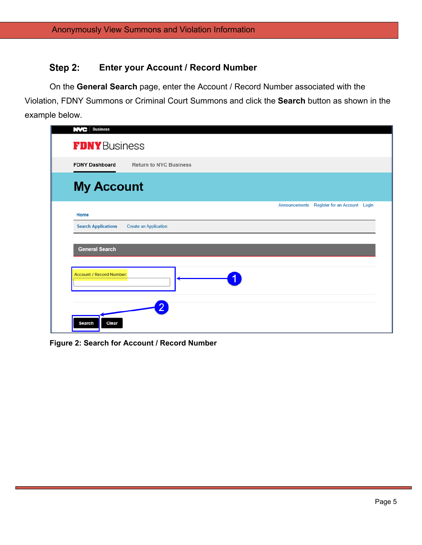#### Step 2: **Enter your Account / Record Number**

On the **General Search** page, enter the Account / Record Number associated with the Violation, FDNY Summons or Criminal Court Summons and click the **Search** button as shown in the example below.

| <b>NVC</b> Business             |                               |               |                               |  |
|---------------------------------|-------------------------------|---------------|-------------------------------|--|
| <b>FDNY</b> Business            |                               |               |                               |  |
| <b>FDNY Dashboard</b>           | <b>Return to NYC Business</b> |               |                               |  |
| <b>My Account</b>               |                               |               |                               |  |
| Home                            |                               | Announcements | Register for an Account Login |  |
| <b>Search Applications</b>      | <b>Create an Application</b>  |               |                               |  |
| <b>General Search</b>           |                               |               |                               |  |
| <b>Account / Record Number:</b> |                               |               |                               |  |
| Search<br>Clear                 | 2                             |               |                               |  |

**Figure 2: Search for Account / Record Number**